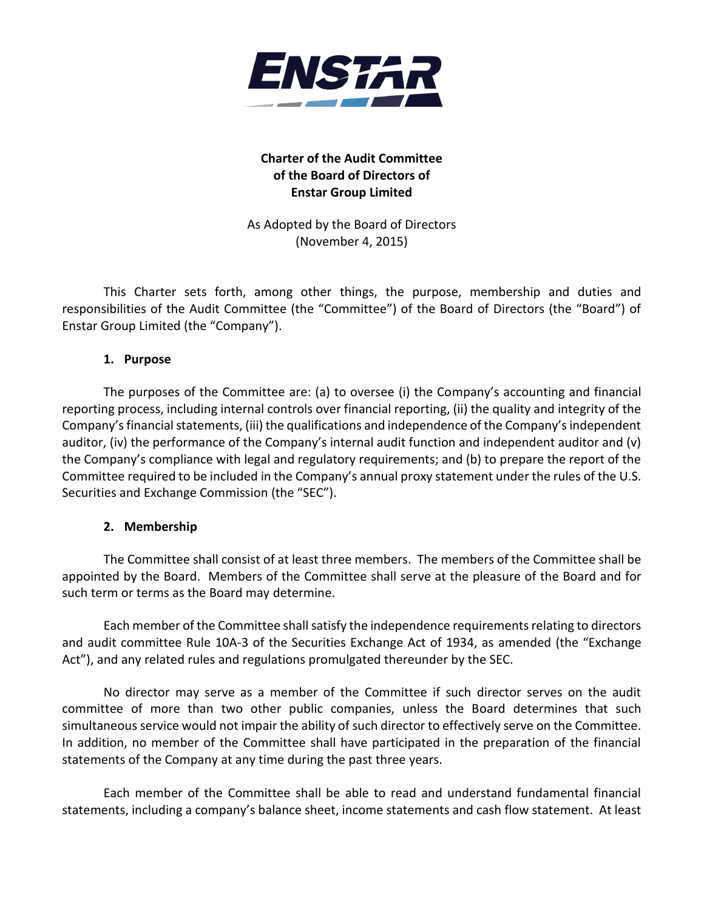

# **Charter of the Audit Committee of the Board of Directors of Enstar Group Limited**

As Adopted by the Board of Directors (November 4, 2015)

This Charter sets forth, among other things, the purpose, membership and duties and responsibilities of the Audit Committee (the "Committee") of the Board of Directors (the "Board") of Enstar Group Limited (the "Company").

#### **1. Purpose**

The purposes of the Committee are: (a) to oversee (i) the Company's accounting and financial reporting process, including internal controls over financial reporting, (ii) the quality and integrity of the Company's financial statements, (iii) the qualifications and independence of the Company's independent auditor, (iv) the performance of the Company's internal audit function and independent auditor and (v) the Company's compliance with legal and regulatory requirements; and (b) to prepare the report of the Committee required to be included in the Company's annual proxy statement under the rules of the U.S. Securities and Exchange Commission (the "SEC").

#### **2. Membership**

The Committee shall consist of at least three members. The members of the Committee shall be appointed by the Board. Members of the Committee shall serve at the pleasure of the Board and for such term or terms as the Board may determine.

Each member of the Committee shall satisfy the independence requirements relating to directors and audit committee Rule 10A-3 of the Securities Exchange Act of 1934, as amended (the "Exchange Act"), and any related rules and regulations promulgated thereunder by the SEC.

No director may serve as a member of the Committee if such director serves on the audit committee of more than two other public companies, unless the Board determines that such simultaneous service would not impair the ability of such director to effectively serve on the Committee. In addition, no member of the Committee shall have participated in the preparation of the financial statements of the Company at any time during the past three years.

Each member of the Committee shall be able to read and understand fundamental financial statements, including a company's balance sheet, income statements and cash flow statement. At least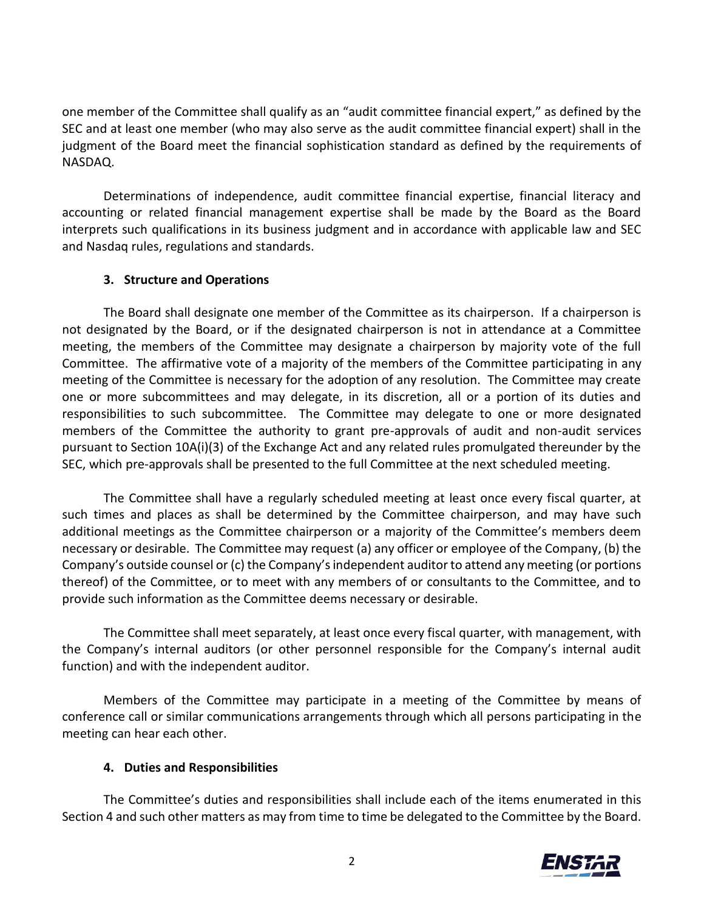one member of the Committee shall qualify as an "audit committee financial expert," as defined by the SEC and at least one member (who may also serve as the audit committee financial expert) shall in the judgment of the Board meet the financial sophistication standard as defined by the requirements of NASDAQ.

Determinations of independence, audit committee financial expertise, financial literacy and accounting or related financial management expertise shall be made by the Board as the Board interprets such qualifications in its business judgment and in accordance with applicable law and SEC and Nasdaq rules, regulations and standards.

#### **3. Structure and Operations**

The Board shall designate one member of the Committee as its chairperson. If a chairperson is not designated by the Board, or if the designated chairperson is not in attendance at a Committee meeting, the members of the Committee may designate a chairperson by majority vote of the full Committee. The affirmative vote of a majority of the members of the Committee participating in any meeting of the Committee is necessary for the adoption of any resolution. The Committee may create one or more subcommittees and may delegate, in its discretion, all or a portion of its duties and responsibilities to such subcommittee. The Committee may delegate to one or more designated members of the Committee the authority to grant pre-approvals of audit and non-audit services pursuant to Section 10A(i)(3) of the Exchange Act and any related rules promulgated thereunder by the SEC, which pre-approvals shall be presented to the full Committee at the next scheduled meeting.

The Committee shall have a regularly scheduled meeting at least once every fiscal quarter, at such times and places as shall be determined by the Committee chairperson, and may have such additional meetings as the Committee chairperson or a majority of the Committee's members deem necessary or desirable. The Committee may request (a) any officer or employee of the Company, (b) the Company's outside counsel or (c) the Company's independent auditor to attend any meeting (or portions thereof) of the Committee, or to meet with any members of or consultants to the Committee, and to provide such information as the Committee deems necessary or desirable.

The Committee shall meet separately, at least once every fiscal quarter, with management, with the Company's internal auditors (or other personnel responsible for the Company's internal audit function) and with the independent auditor.

Members of the Committee may participate in a meeting of the Committee by means of conference call or similar communications arrangements through which all persons participating in the meeting can hear each other.

## **4. Duties and Responsibilities**

The Committee's duties and responsibilities shall include each of the items enumerated in this Section 4 and such other matters as may from time to time be delegated to the Committee by the Board.

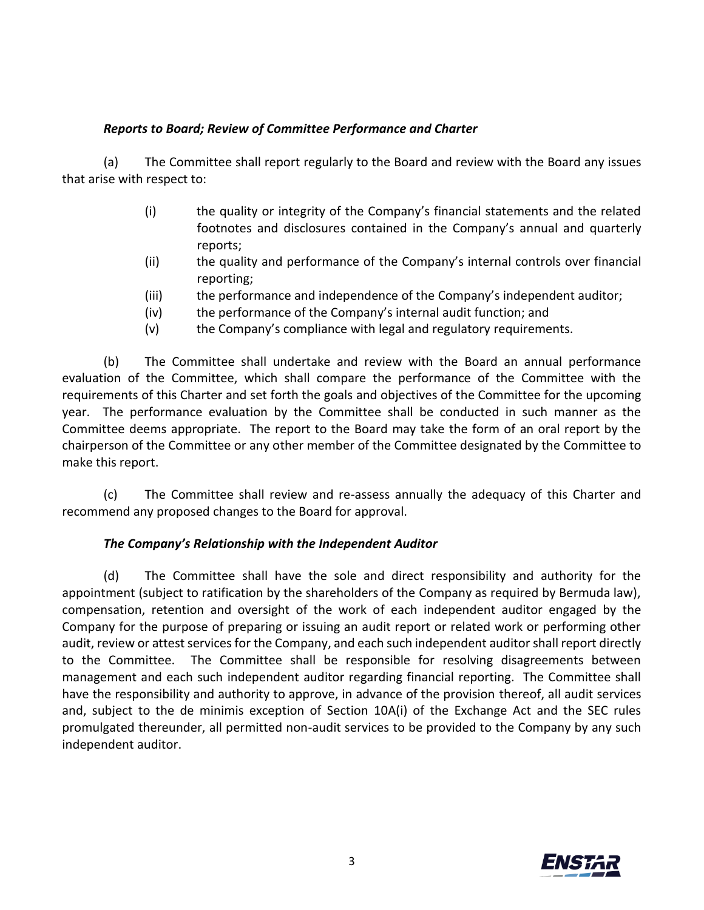## *Reports to Board; Review of Committee Performance and Charter*

(a) The Committee shall report regularly to the Board and review with the Board any issues that arise with respect to:

- (i) the quality or integrity of the Company's financial statements and the related footnotes and disclosures contained in the Company's annual and quarterly reports;
- (ii) the quality and performance of the Company's internal controls over financial reporting;
- (iii) the performance and independence of the Company's independent auditor;
- (iv) the performance of the Company's internal audit function; and
- (v) the Company's compliance with legal and regulatory requirements.

(b) The Committee shall undertake and review with the Board an annual performance evaluation of the Committee, which shall compare the performance of the Committee with the requirements of this Charter and set forth the goals and objectives of the Committee for the upcoming year. The performance evaluation by the Committee shall be conducted in such manner as the Committee deems appropriate. The report to the Board may take the form of an oral report by the chairperson of the Committee or any other member of the Committee designated by the Committee to make this report.

(c) The Committee shall review and re-assess annually the adequacy of this Charter and recommend any proposed changes to the Board for approval.

## *The Company's Relationship with the Independent Auditor*

(d) The Committee shall have the sole and direct responsibility and authority for the appointment (subject to ratification by the shareholders of the Company as required by Bermuda law), compensation, retention and oversight of the work of each independent auditor engaged by the Company for the purpose of preparing or issuing an audit report or related work or performing other audit, review or attest services for the Company, and each such independent auditor shall report directly to the Committee. The Committee shall be responsible for resolving disagreements between management and each such independent auditor regarding financial reporting. The Committee shall have the responsibility and authority to approve, in advance of the provision thereof, all audit services and, subject to the de minimis exception of Section 10A(i) of the Exchange Act and the SEC rules promulgated thereunder, all permitted non-audit services to be provided to the Company by any such independent auditor.

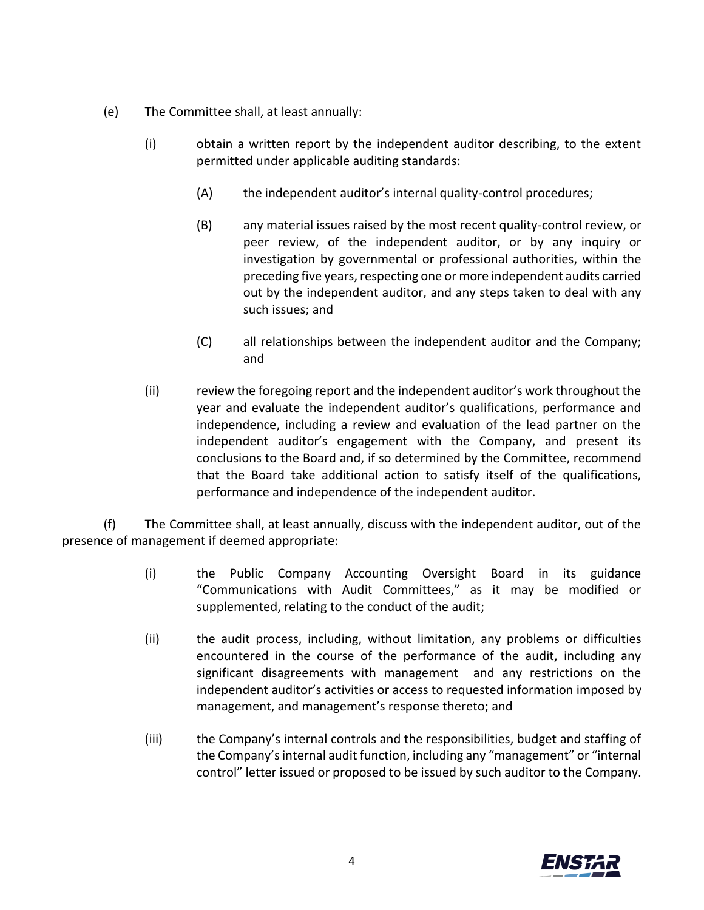- (e) The Committee shall, at least annually:
	- (i) obtain a written report by the independent auditor describing, to the extent permitted under applicable auditing standards:
		- (A) the independent auditor's internal quality-control procedures;
		- (B) any material issues raised by the most recent quality-control review, or peer review, of the independent auditor, or by any inquiry or investigation by governmental or professional authorities, within the preceding five years, respecting one or more independent audits carried out by the independent auditor, and any steps taken to deal with any such issues; and
		- (C) all relationships between the independent auditor and the Company; and
	- (ii) review the foregoing report and the independent auditor's work throughout the year and evaluate the independent auditor's qualifications, performance and independence, including a review and evaluation of the lead partner on the independent auditor's engagement with the Company, and present its conclusions to the Board and, if so determined by the Committee, recommend that the Board take additional action to satisfy itself of the qualifications, performance and independence of the independent auditor.

(f) The Committee shall, at least annually, discuss with the independent auditor, out of the presence of management if deemed appropriate:

- (i) the Public Company Accounting Oversight Board in its guidance "Communications with Audit Committees," as it may be modified or supplemented, relating to the conduct of the audit;
- (ii) the audit process, including, without limitation, any problems or difficulties encountered in the course of the performance of the audit, including any significant disagreements with management and any restrictions on the independent auditor's activities or access to requested information imposed by management, and management's response thereto; and
- (iii) the Company's internal controls and the responsibilities, budget and staffing of the Company's internal audit function, including any "management" or "internal control" letter issued or proposed to be issued by such auditor to the Company.

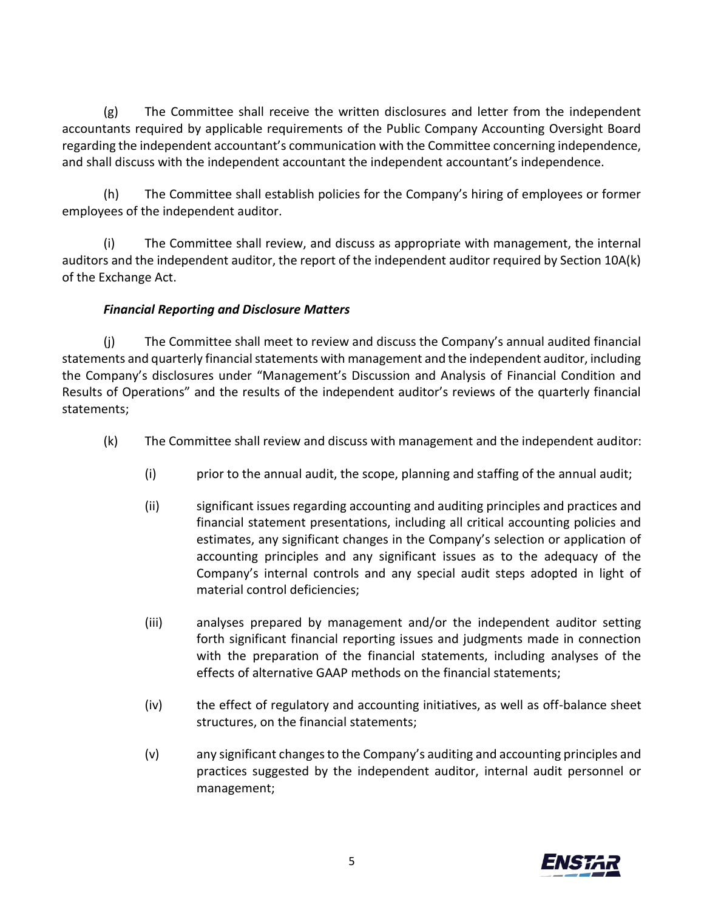(g) The Committee shall receive the written disclosures and letter from the independent accountants required by applicable requirements of the Public Company Accounting Oversight Board regarding the independent accountant's communication with the Committee concerning independence, and shall discuss with the independent accountant the independent accountant's independence.

(h) The Committee shall establish policies for the Company's hiring of employees or former employees of the independent auditor.

(i) The Committee shall review, and discuss as appropriate with management, the internal auditors and the independent auditor, the report of the independent auditor required by Section 10A(k) of the Exchange Act.

# *Financial Reporting and Disclosure Matters*

(j) The Committee shall meet to review and discuss the Company's annual audited financial statements and quarterly financial statements with management and the independent auditor, including the Company's disclosures under "Management's Discussion and Analysis of Financial Condition and Results of Operations" and the results of the independent auditor's reviews of the quarterly financial statements;

- (k) The Committee shall review and discuss with management and the independent auditor:
	- (i) prior to the annual audit, the scope, planning and staffing of the annual audit;
	- (ii) significant issues regarding accounting and auditing principles and practices and financial statement presentations, including all critical accounting policies and estimates, any significant changes in the Company's selection or application of accounting principles and any significant issues as to the adequacy of the Company's internal controls and any special audit steps adopted in light of material control deficiencies;
	- (iii) analyses prepared by management and/or the independent auditor setting forth significant financial reporting issues and judgments made in connection with the preparation of the financial statements, including analyses of the effects of alternative GAAP methods on the financial statements;
	- (iv) the effect of regulatory and accounting initiatives, as well as off-balance sheet structures, on the financial statements;
	- (v) any significant changes to the Company's auditing and accounting principles and practices suggested by the independent auditor, internal audit personnel or management;

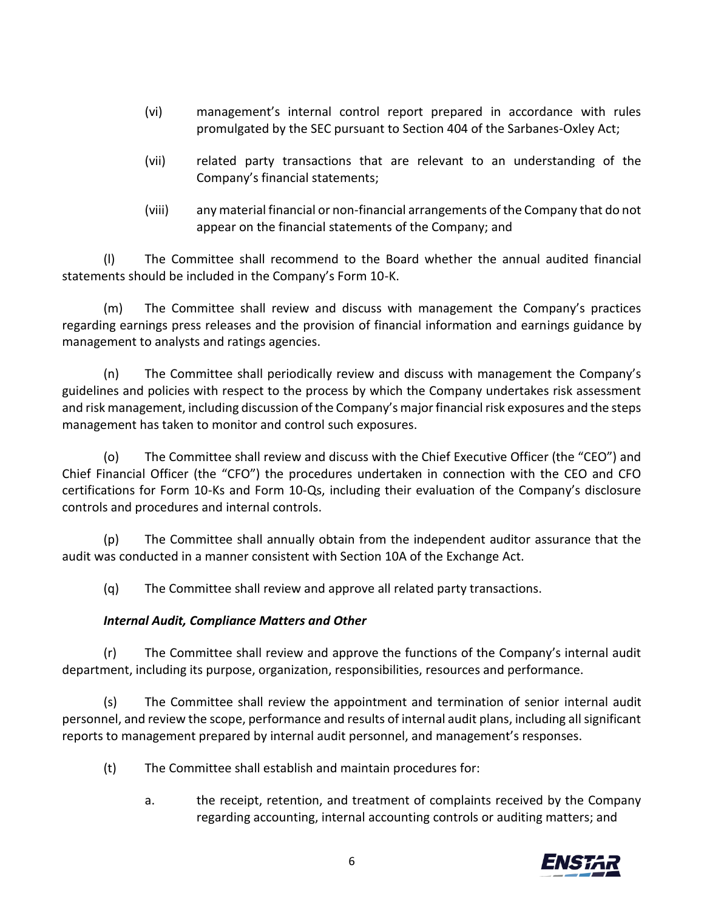- (vi) management's internal control report prepared in accordance with rules promulgated by the SEC pursuant to Section 404 of the Sarbanes-Oxley Act;
- (vii) related party transactions that are relevant to an understanding of the Company's financial statements;
- (viii) any material financial or non-financial arrangements of the Company that do not appear on the financial statements of the Company; and

(l) The Committee shall recommend to the Board whether the annual audited financial statements should be included in the Company's Form 10-K.

(m) The Committee shall review and discuss with management the Company's practices regarding earnings press releases and the provision of financial information and earnings guidance by management to analysts and ratings agencies.

(n) The Committee shall periodically review and discuss with management the Company's guidelines and policies with respect to the process by which the Company undertakes risk assessment and risk management, including discussion of the Company's major financial risk exposures and the steps management has taken to monitor and control such exposures.

(o) The Committee shall review and discuss with the Chief Executive Officer (the "CEO") and Chief Financial Officer (the "CFO") the procedures undertaken in connection with the CEO and CFO certifications for Form 10-Ks and Form 10-Qs, including their evaluation of the Company's disclosure controls and procedures and internal controls.

(p) The Committee shall annually obtain from the independent auditor assurance that the audit was conducted in a manner consistent with Section 10A of the Exchange Act.

(q) The Committee shall review and approve all related party transactions.

## *Internal Audit, Compliance Matters and Other*

(r) The Committee shall review and approve the functions of the Company's internal audit department, including its purpose, organization, responsibilities, resources and performance.

(s) The Committee shall review the appointment and termination of senior internal audit personnel, and review the scope, performance and results of internal audit plans, including all significant reports to management prepared by internal audit personnel, and management's responses.

- (t) The Committee shall establish and maintain procedures for:
	- a. the receipt, retention, and treatment of complaints received by the Company regarding accounting, internal accounting controls or auditing matters; and